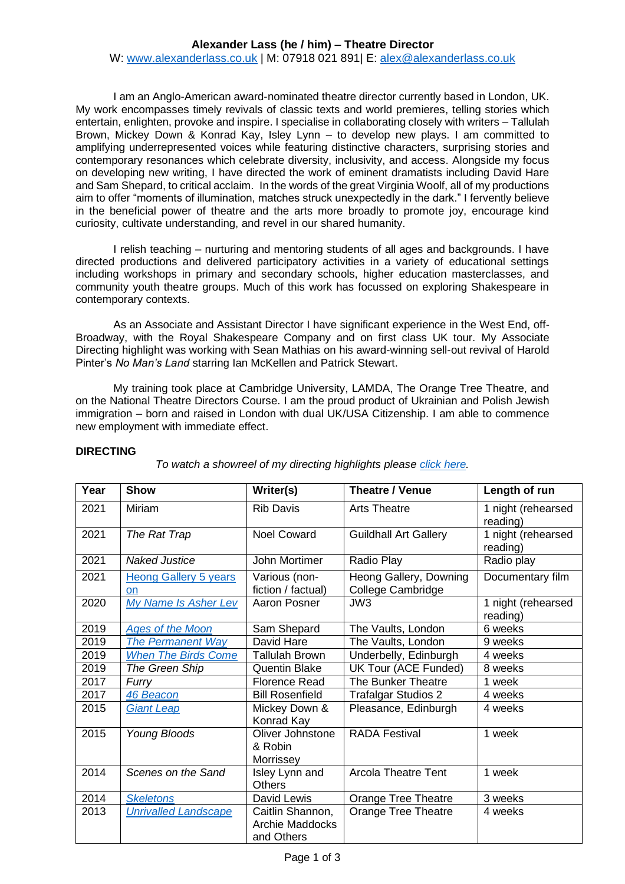# **Alexander Lass (he / him) – Theatre Director**

W: [www.alexanderlass.co.uk](http://www.alexanderlass.co.uk/) | M: 07918 021 891| E: [alex@alexanderlass.co.uk](mailto:alex@alexanderlass.co.uk)

I am an Anglo-American award-nominated theatre director currently based in London, UK. My work encompasses timely revivals of classic texts and world premieres, telling stories which entertain, enlighten, provoke and inspire. I specialise in collaborating closely with writers – Tallulah Brown, Mickey Down & Konrad Kay, Isley Lynn – to develop new plays. I am committed to amplifying underrepresented voices while featuring distinctive characters, surprising stories and contemporary resonances which celebrate diversity, inclusivity, and access. Alongside my focus on developing new writing, I have directed the work of eminent dramatists including David Hare and Sam Shepard, to critical acclaim. In the words of the great Virginia Woolf, all of my productions aim to offer "moments of illumination, matches struck unexpectedly in the dark." I fervently believe in the beneficial power of theatre and the arts more broadly to promote joy, encourage kind curiosity, cultivate understanding, and revel in our shared humanity.

I relish teaching – nurturing and mentoring students of all ages and backgrounds. I have directed productions and delivered participatory activities in a variety of educational settings including workshops in primary and secondary schools, higher education masterclasses, and community youth theatre groups. Much of this work has focussed on exploring Shakespeare in contemporary contexts.

As an Associate and Assistant Director I have significant experience in the West End, off-Broadway, with the Royal Shakespeare Company and on first class UK tour. My Associate Directing highlight was working with Sean Mathias on his award-winning sell-out revival of Harold Pinter's *No Man's Land* starring Ian McKellen and Patrick Stewart.

My training took place at Cambridge University, LAMDA, The Orange Tree Theatre, and on the National Theatre Directors Course. I am the proud product of Ukrainian and Polish Jewish immigration – born and raised in London with dual UK/USA Citizenship. I am able to commence new employment with immediate effect.

*To watch a showreel of my directing highlights please [click here.](https://youtu.be/UBsviAhvNew)*

| Year | <b>Show</b>                  | Writer(s)              | Theatre / Venue              | Length of run                  |
|------|------------------------------|------------------------|------------------------------|--------------------------------|
| 2021 | Miriam                       | <b>Rib Davis</b>       |                              |                                |
|      |                              |                        | <b>Arts Theatre</b>          | 1 night (rehearsed             |
| 2021 |                              | <b>Noel Coward</b>     |                              | reading)                       |
|      | The Rat Trap                 |                        | <b>Guildhall Art Gallery</b> | 1 night (rehearsed<br>reading) |
| 2021 | <b>Naked Justice</b>         | John Mortimer          | Radio Play                   | Radio play                     |
| 2021 | <b>Heong Gallery 5 years</b> | Various (non-          | Heong Gallery, Downing       | Documentary film               |
|      | on                           | fiction / factual)     | College Cambridge            |                                |
| 2020 | My Name Is Asher Lev         | Aaron Posner           | JW <sub>3</sub>              | 1 night (rehearsed             |
|      |                              |                        |                              | reading)                       |
| 2019 | <b>Ages of the Moon</b>      | Sam Shepard            | The Vaults, London           | 6 weeks                        |
| 2019 | <b>The Permanent Way</b>     | David Hare             | The Vaults, London           | 9 weeks                        |
| 2019 | <b>When The Birds Come</b>   | Tallulah Brown         | Underbelly, Edinburgh        | 4 weeks                        |
| 2019 | The Green Ship               | <b>Quentin Blake</b>   | UK Tour (ACE Funded)         | 8 weeks                        |
| 2017 | Furry                        | <b>Florence Read</b>   | <b>The Bunker Theatre</b>    | 1 week                         |
| 2017 | 46 Beacon                    | <b>Bill Rosenfield</b> | <b>Trafalgar Studios 2</b>   | 4 weeks                        |
| 2015 | <b>Giant Leap</b>            | Mickey Down &          | Pleasance, Edinburgh         | 4 weeks                        |
|      |                              | Konrad Kay             |                              |                                |
| 2015 | Young Bloods                 | Oliver Johnstone       | <b>RADA Festival</b>         | 1 week                         |
|      |                              | & Robin                |                              |                                |
|      |                              | Morrissey              |                              |                                |
| 2014 | Scenes on the Sand           | Isley Lynn and         | <b>Arcola Theatre Tent</b>   | 1 week                         |
|      |                              | <b>Others</b>          |                              |                                |
| 2014 | <b>Skeletons</b>             | David Lewis            | <b>Orange Tree Theatre</b>   | 3 weeks                        |
| 2013 | <b>Unrivalled Landscape</b>  | Caitlin Shannon,       | <b>Orange Tree Theatre</b>   | 4 weeks                        |
|      |                              | Archie Maddocks        |                              |                                |
|      |                              | and Others             |                              |                                |

### **DIRECTING**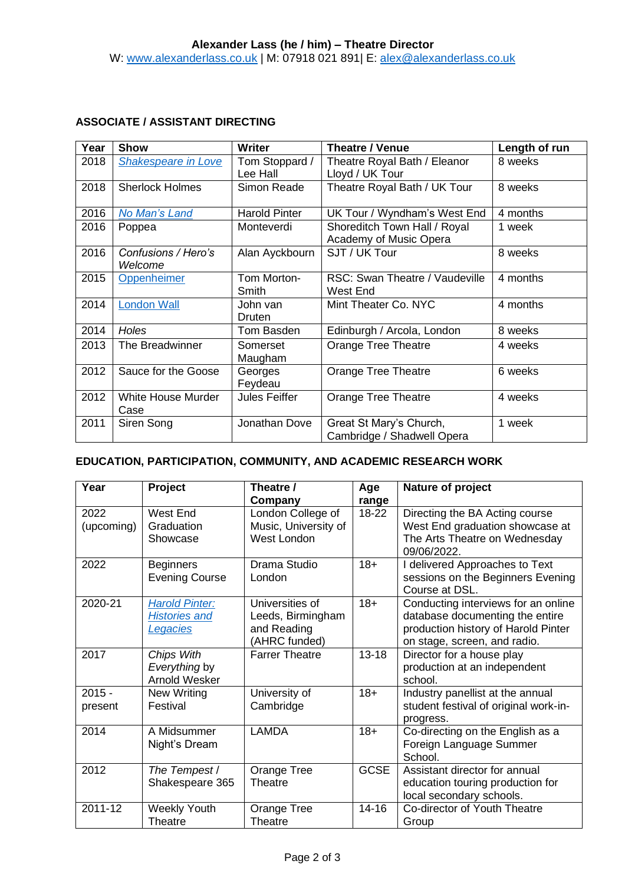# **ASSOCIATE / ASSISTANT DIRECTING**

| Year | <b>Show</b>                    | <b>Writer</b>              | Theatre / Venue                                        | Length of run |
|------|--------------------------------|----------------------------|--------------------------------------------------------|---------------|
| 2018 | <b>Shakespeare in Love</b>     | Tom Stoppard /<br>Lee Hall | Theatre Royal Bath / Eleanor<br>Lloyd / UK Tour        | 8 weeks       |
| 2018 | <b>Sherlock Holmes</b>         | Simon Reade                | Theatre Royal Bath / UK Tour                           | 8 weeks       |
| 2016 | No Man's Land                  | <b>Harold Pinter</b>       | UK Tour / Wyndham's West End                           | 4 months      |
| 2016 | Poppea                         | Monteverdi                 | Shoreditch Town Hall / Royal<br>Academy of Music Opera | 1 week        |
| 2016 | Confusions / Hero's<br>Welcome | Alan Ayckbourn             | SJT / UK Tour                                          | 8 weeks       |
| 2015 | <b>Oppenheimer</b>             | Tom Morton-<br>Smith       | RSC: Swan Theatre / Vaudeville<br>West End             | 4 months      |
| 2014 | <b>London Wall</b>             | John van<br>Druten         | Mint Theater Co. NYC                                   | 4 months      |
| 2014 | <b>Holes</b>                   | Tom Basden                 | Edinburgh / Arcola, London                             | 8 weeks       |
| 2013 | The Breadwinner                | Somerset<br>Maugham        | Orange Tree Theatre                                    | 4 weeks       |
| 2012 | Sauce for the Goose            | Georges<br>Feydeau         | Orange Tree Theatre                                    | 6 weeks       |
| 2012 | White House Murder<br>Case     | <b>Jules Feiffer</b>       | <b>Orange Tree Theatre</b>                             | 4 weeks       |
| 2011 | Siren Song                     | Jonathan Dove              | Great St Mary's Church,<br>Cambridge / Shadwell Opera  | 1 week        |

### **EDUCATION, PARTICIPATION, COMMUNITY, AND ACADEMIC RESEARCH WORK**

| Year                | Project                                                          | Theatre /<br>Company                                                 | Age<br>range | Nature of project                                                                                                                             |
|---------------------|------------------------------------------------------------------|----------------------------------------------------------------------|--------------|-----------------------------------------------------------------------------------------------------------------------------------------------|
| 2022<br>(upcoming)  | West End<br>Graduation<br>Showcase                               | London College of<br>Music, University of<br>West London             | 18-22        | Directing the BA Acting course<br>West End graduation showcase at<br>The Arts Theatre on Wednesday<br>09/06/2022.                             |
| 2022                | <b>Beginners</b><br><b>Evening Course</b>                        | Drama Studio<br>London                                               | $18 +$       | I delivered Approaches to Text<br>sessions on the Beginners Evening<br>Course at DSL.                                                         |
| 2020-21             | <b>Harold Pinter:</b><br><b>Histories and</b><br><b>Legacies</b> | Universities of<br>Leeds, Birmingham<br>and Reading<br>(AHRC funded) | $18 +$       | Conducting interviews for an online<br>database documenting the entire<br>production history of Harold Pinter<br>on stage, screen, and radio. |
| 2017                | Chips With<br>Everything by<br>Arnold Wesker                     | <b>Farrer Theatre</b>                                                | $13 - 18$    | Director for a house play<br>production at an independent<br>school.                                                                          |
| $2015 -$<br>present | New Writing<br>Festival                                          | University of<br>Cambridge                                           | $18 +$       | Industry panellist at the annual<br>student festival of original work-in-<br>progress.                                                        |
| 2014                | A Midsummer<br>Night's Dream                                     | <b>LAMDA</b>                                                         | $18 +$       | Co-directing on the English as a<br>Foreign Language Summer<br>School.                                                                        |
| 2012                | The Tempest /<br>Shakespeare 365                                 | Orange Tree<br>Theatre                                               | <b>GCSE</b>  | Assistant director for annual<br>education touring production for<br>local secondary schools.                                                 |
| 2011-12             | <b>Weekly Youth</b><br>Theatre                                   | Orange Tree<br>Theatre                                               | $14 - 16$    | Co-director of Youth Theatre<br>Group                                                                                                         |